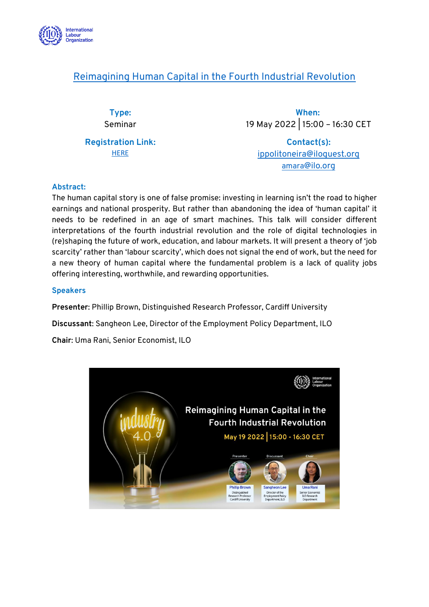

## [Reimagining Human Capital in the Fourth Industrial Revolution](https://staging.ilo.org/global/research/events-courses/WCMS_844254/lang--en/index.htm)

**Type:** Seminar

**Registration Link: [HERE](https://ilo-org.zoom.us/webinar/register/WN_df6MXKQGQPSmDqG5WLRnng)** 

**When:** 19 May 2022 | 15:00 – 16:30 CET

**Contact(s):** [ippolitoneira@iloguest.org](mailto:ippolitoneira@iloguest.org) [amara](mailto:amara@ilo.org)[@ilo.org](mailto:amara@ilo.org)

## **Abstract:**

The human capital story is one of false promise: investing in learning isn't the road to higher earnings and national prosperity. But rather than abandoning the idea of 'human capital' it needs to be redefined in an age of smart machines. This talk will consider different interpretations of the fourth industrial revolution and the role of digital technologies in (re)shaping the future of work, education, and labour markets. It will present a theory of 'job scarcity' rather than 'labour scarcity', which does not signal the end of work, but the need for a new theory of human capital where the fundamental problem is a lack of quality jobs offering interesting, worthwhile, and rewarding opportunities.

## **Speakers**

**Presenter**: Phillip Brown, Distinguished Research Professor, Cardiff University

**Discussant**: Sangheon Lee, Director of the Employment Policy Department, ILO

**Chair**: Uma Rani, Senior Economist, ILO